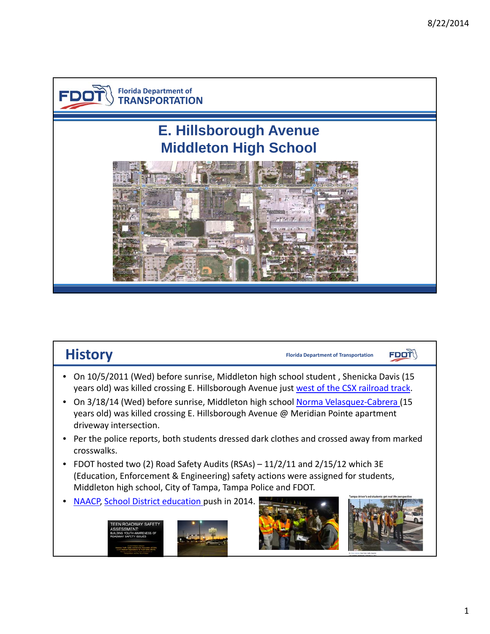

| <b>History</b>                                                                                                                                                                                                                    | <b>Florida Department of Transportation</b> |
|-----------------------------------------------------------------------------------------------------------------------------------------------------------------------------------------------------------------------------------|---------------------------------------------|
| On 10/5/2011 (Wed) before sunrise, Middleton high school student, Shenicka Davis (15<br>years old) was killed crossing E. Hillsborough Avenue just west of the CSX railroad track.                                                |                                             |
| On 3/18/14 (Wed) before sunrise, Middleton high school Norma Velasquez-Cabrera (15<br>years old) was killed crossing E. Hillsborough Avenue @ Meridian Pointe apartment<br>driveway intersection.                                 |                                             |
| Per the police reports, both students dressed dark clothes and crossed away from marked<br>crosswalks.                                                                                                                            |                                             |
| FDOT hosted two (2) Road Safety Audits (RSAs) - 11/2/11 and 2/15/12 which 3E<br>(Education, Enforcement & Engineering) safety actions were assigned for students,<br>Middleton high school, City of Tampa, Tampa Police and FDOT. |                                             |
| NAACP, School District education push in 2014.<br>ROADWAY SAFET                                                                                                                                                                   | ludents net real life                       |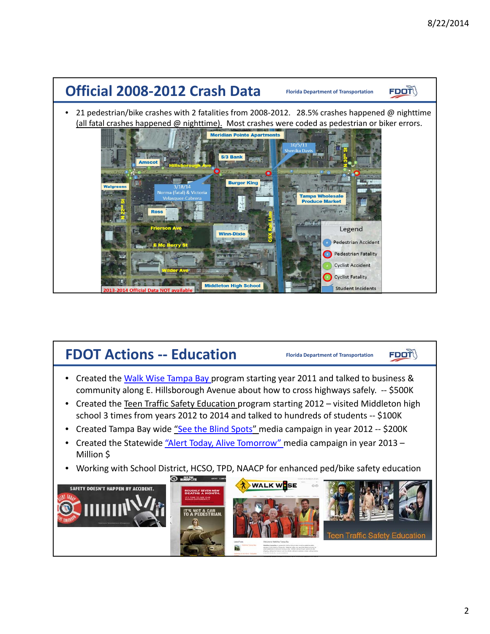

# **FDOT Actions Florida Department of Transportation ‐‐ Education**

**Florida Department of Transportation** 

**FDOT** 

- Created the Walk Wise Tampa Bay program starting year 2011 and talked to business & community along E. Hillsborough Avenue about how to cross highways safely. ‐‐ \$500K
- Created the Teen Traffic Safety Education program starting 2012 visited Middleton high school 3 times from years 2012 to 2014 and talked to hundreds of students ‐‐ \$100K
- Created Tampa Bay wide <u>"See the Blind Spots"</u> media campaign in year 2012 -- \$200K
- Created the Statewide "Alert Today, Alive Tomorrow" media campaign in year 2013 -Million \$
- Working with School District, HCSO, TPD, NAACP for enhanced ped/bike safety education

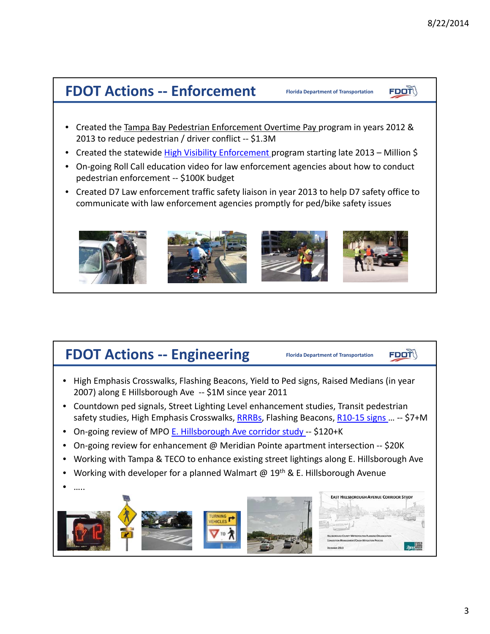**FDOT** 

# **FDOT** Actions -- Enforcement

- Created the Tampa Bay Pedestrian Enforcement Overtime Pay program in years 2012 & 2013 to reduce pedestrian / driver conflict ‐‐ \$1.3M
- Created the statewide *High Visibility Enforcement program starting late 2013 Million \$*
- • On‐going Roll Call education video for law enforcement agencies about how to conduct pedestrian enforcement ‐‐ \$100K budget
- • Created D7 Law enforcement traffic safety liaison in year 2013 to help D7 safety office to communicate with law enforcement agencies promptly for ped/bike safety issues



# **FDOT** Actions -- Engineering

**Florida Department of Transportation** 

**Florida Department of Transportation** 

**FDOT** 

- High Emphasis Crosswalks, Flashing Beacons, Yield to Ped signs, Raised Medians (in year 2007) along E Hillsborough Ave ‐‐ \$1M since year 2011
- Countdown ped signals, Street Lighting Level enhancement studies, Transit pedestrian safety studies, High Emphasis Crosswalks, <u>RRRBs</u>, Flashing Beacons, <u>R10-15 signs … --</u> \$7+M
- On-going review of MPO E. Hillsborough Ave corridor study -- \$120+K
- On‐going review for enhancement @ Meridian Pointe apartment intersection ‐‐ \$20K
- Working with Tampa & TECO to enhance existing street lightings along E. Hillsborough Ave
- Working with developer for a planned Walmart @ 19<sup>th</sup> & E. Hillsborough Avenue
- …..

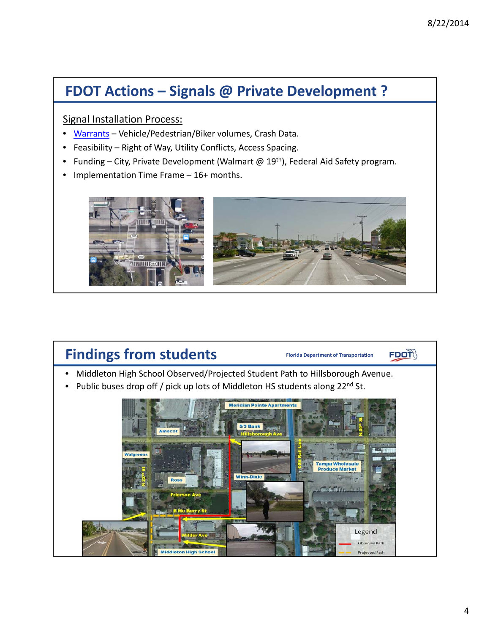# **FDOT Actions – Signals @ Private Development ?**

Signal Installation Process:

- Warrants Vehicle/Pedestrian/Biker volumes, Crash Data.
- Feasibility Right of Way, Utility Conflicts, Access Spacing.
- Funding City, Private Development (Walmart @ 19<sup>th</sup>), Federal Aid Safety program.
- Implementation Time Frame 16+ months.



# Findings from students **Florida** Department of Transportation

 $F$ DOT $\sqrt{ }$ 

- Middleton High School Observed/Projected Student Path to Hillsborough Avenue.
- Public buses drop off / pick up lots of Middleton HS students along 22<sup>nd</sup> St.